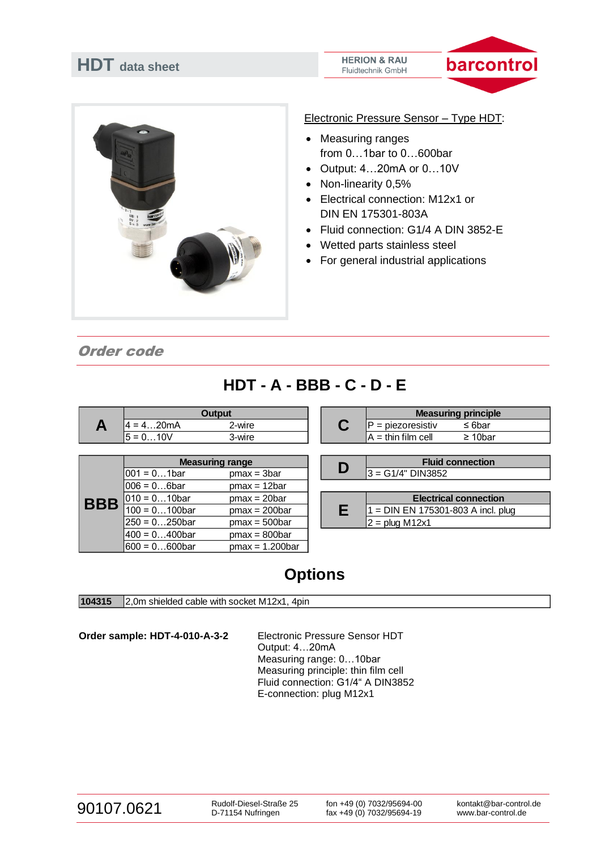| <b>HDT</b> data sheet | <b>HERION &amp; RAU</b><br>barcor<br><b>Fluidtechnik GmbH</b>               |  |  |  |
|-----------------------|-----------------------------------------------------------------------------|--|--|--|
|                       |                                                                             |  |  |  |
|                       | Electronic Pressure Sensor - Type HDT:<br><b>Measuring ranges</b>           |  |  |  |
|                       | from $01$ bar to $0600$ bar<br>Output: 420mA or 010V                        |  |  |  |
|                       | Non-linearity 0,5%<br>Electrical connection: M12x1 or<br>DIN EN 175301-803A |  |  |  |
|                       | • Fluid connection: G1/4 A DIN 3852-E<br>Wetted parts stainless steel       |  |  |  |
|                       | For general industrial applications                                         |  |  |  |

**Service** 

# Order code

 $4 = 4...20$ mA 2-wire 2-wire P = piezoresistiv  $\leq 6$ bar<br>5 = 0...10V 3-wire 3-wire A = thin film cell  $\geq 10$ bar  $3$ -wire  $\overline{A}$  = thin film cell  $\overline{001}$  = 0...1bar pmax = 3bar  $\overline{001}$  =  $\overline{0.14}$  D  $\overline{3}$  =  $\overline{0.14}$  DIN3852  $006 = 0...6$ bar pmax = 12bar  $010 = 0...10$ bar pmax = 20bar 100 = 0...100bar pmax = 200bar  $\begin{vmatrix} 1 & 1 \\ 1 & 1 \end{vmatrix}$  PIN EN 175301-803 A incl. plug  $250 = 0...250$ bar pmax = 500bar  $2 =$  plug M12x1  $400 = 0...400$ bar pmax = 800bar<br> $600 = 0...600$ bar pmax = 1.200ba  $pmax = 1.200bar$ **Electrical connection A Output C Measuring principle BBB Measuring range Fluid connection E**

# **Options**

**104315** 2,0m shielded cable with socket M12x1, 4pin

**Order sample: HDT-4-010-A-3-2** Electronic Pressure Sensor HDT

Output: 4…20mA Measuring range: 0…10bar Measuring principle: thin film cell Fluid connection: G1/4" A DIN3852 E-connection: plug M12x1

# 90107.0621 Rudolf-Diesel-Straße 25

D-71154 Nufringen

fon +49 (0) 7032/95694-00 fax +49 (0) 7032/95694-19 kontakt@bar-control.de www.bar-control.de

# **HDT - A - BBB - C - D - E**